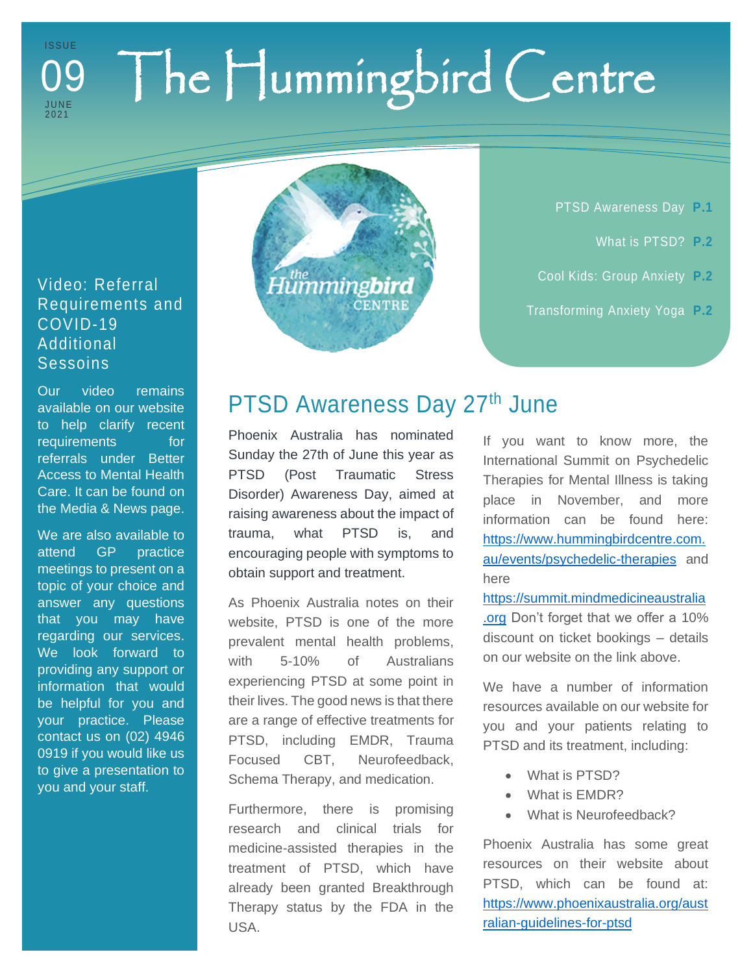#### The Hummingbird Centre I S S U E J U N E 202 1 09

#### Video: Referral Requirements and COVID-19 Additional **Sessoins**

Our video remains available on our website to help clarify recent requirements for referrals under Better Access to Mental Health Care. It can be found on the Media & News page.

We are also available to attend GP practice meetings to present on a topic of your choice and answer any questions that you may have regarding our services. We look forward to providing any support or information that would be helpful for you and your practice. Please contact us on (02) 4946 0919 if you would like us to give a presentation to you and your staff.



PTSD Awareness Day **P.1**

- What is PTSD? **P.2**
- Cool Kids: Group Anxiety **P.2**
- Transforming Anxiety Yoga **P.2**

#### PTSD Awareness Day 27<sup>th</sup> June

Phoenix Australia has nominated Sunday the 27th of June this year as PTSD (Post Traumatic Stress Disorder) Awareness Day, aimed at raising awareness about the impact of trauma, what PTSD is, and encouraging people with symptoms to obtain support and treatment.

As Phoenix Australia notes on their website, PTSD is one of the more prevalent mental health problems, with 5-10% of Australians experiencing PTSD at some point in their lives. The good news is that there are a range of effective treatments for PTSD, including EMDR, Trauma Focused CBT, Neurofeedback, Schema Therapy, and medication.

Furthermore, there is promising research and clinical trials for medicine-assisted therapies in the treatment of PTSD, which have already been granted Breakthrough Therapy status by the FDA in the USA.

If you want to know more, the International Summit on Psychedelic Therapies for Mental Illness is taking place in November, and more information can be found here: [https://www.hummingbirdcentre.com.](https://www.hummingbirdcentre.com.au/events/psychedelic-therapies) [au/events/psychedelic-therapies](https://www.hummingbirdcentre.com.au/events/psychedelic-therapies) and here

[https://summit.mindmedicineaustralia](https://summit.mindmedicineaustralia.org/) [.org](https://summit.mindmedicineaustralia.org/) Don't forget that we offer a 10% discount on ticket bookings – details on our website on the link above.

We have a number of information resources available on our website for you and your patients relating to PTSD and its treatment, including:

- What is PTSD?
- What is EMDR?
- What is Neurofeedback?

Phoenix Australia has some great resources on their website about PTSD, which can be found at: [https://www.phoenixaustralia.org/aust](https://www.phoenixaustralia.org/australian-guidelines-for-ptsd) [ralian-guidelines-for-ptsd](https://www.phoenixaustralia.org/australian-guidelines-for-ptsd)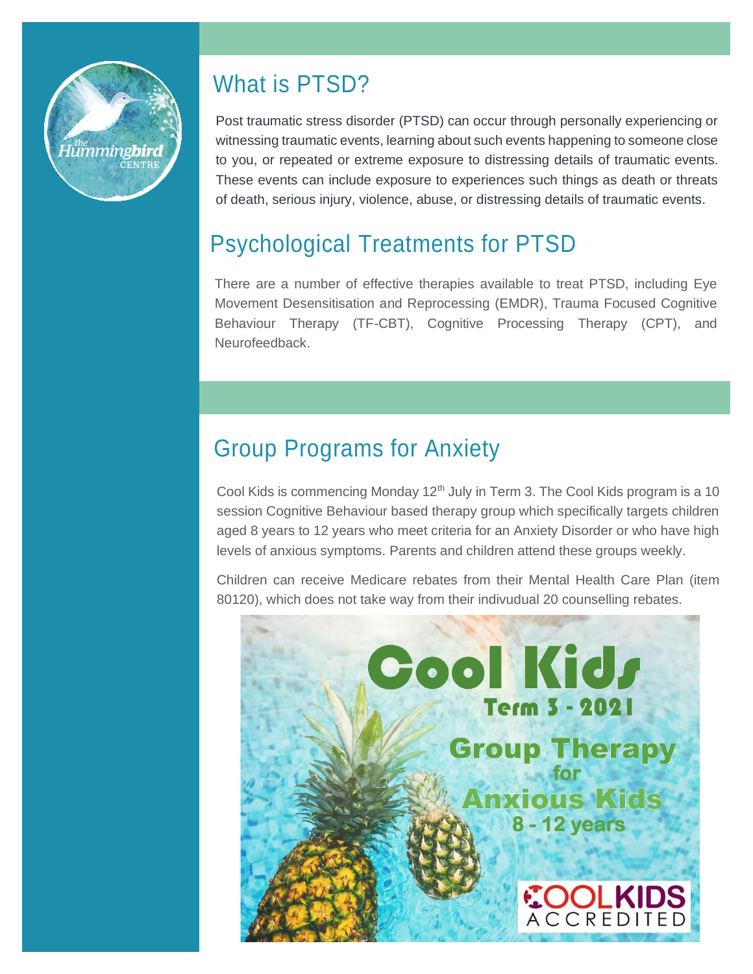

### What is PTSD?

Post traumatic stress disorder (PTSD) can occur through personally experiencing or witnessing traumatic events, learning about such events happening to someone close to you, or repeated or extreme exposure to distressing details of traumatic events. These events can include exposure to experiences such things as death or threats of death, serious injury, violence, abuse, or distressing details of traumatic events.

### Psychological Treatments for PTSD

There are a number of effective therapies available to treat PTSD, including Eye Movement Desensitisation and Reprocessing (EMDR), Trauma Focused Cognitive Behaviour Therapy (TF-CBT), Cognitive Processing Therapy (CPT), and Neurofeedback.

### Group Programs for Anxiety

Cool Kids is commencing Monday 12<sup>th</sup> July in Term 3. The Cool Kids program is a 10 session Cognitive Behaviour based therapy group which specifically targets children aged 8 years to 12 years who meet criteria for an Anxiety Disorder or who have high levels of anxious symptoms. Parents and children attend these groups weekly.

Children can receive Medicare rebates from their Mental Health Care Plan (item 80120), which does not take way from their indivudual 20 counselling rebates.